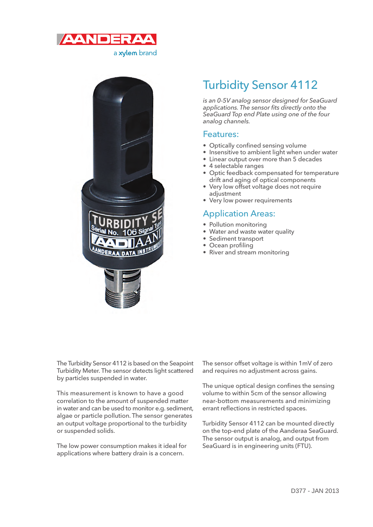



# Turbidity Sensor 4112

is an 0-5V analog sensor designed for SeaGuard applications. The sensor fits directly onto the SeaGuard Top end Plate using one of the four analog channels.

## Features:

- Optically confined sensing volume
- Insensitive to ambient light when under water
- Linear output over more than 5 decades
- 4 selectable ranges
- Optic feedback compensated for temperature drift and aging of optical components
- Very low offset voltage does not require adjustment
- Very low power requirements

## Application Areas:

- Pollution monitoring
- Water and waste water quality
- Sediment transport
- Ocean profiling
- River and stream monitoring

The Turbidity Sensor 4112 is based on the Seapoint Turbidity Meter. The sensor detects light scattered by particles suspended in water.

This measurement is known to have a good correlation to the amount of suspended matter in water and can be used to monitor e.g. sediment, algae or particle pollution. The sensor generates an output voltage proportional to the turbidity or suspended solids.

The low power consumption makes it ideal for applications where battery drain is a concern.

The sensor offset voltage is within 1mV of zero and requires no adjustment across gains.

The unique optical design confines the sensing volume to within 5cm of the sensor allowing near-bottom measurements and minimizing errant reflections in restricted spaces.

Turbidity Sensor 4112 can be mounted directly on the top-end plate of the Aanderaa SeaGuard. The sensor output is analog, and output from SeaGuard is in engineering units (FTU).